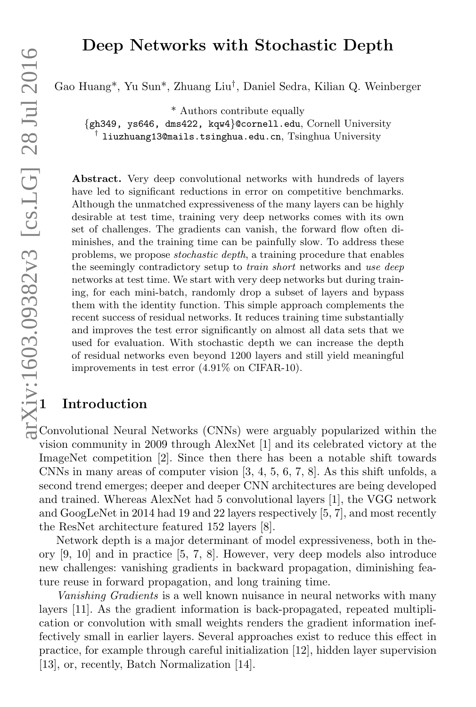## Deep Networks with Stochastic Depth

Gao Huang\*, Yu Sun\*, Zhuang Liu† , Daniel Sedra, Kilian Q. Weinberger

\* Authors contribute equally

{gh349, ys646, dms422, kqw4}@cornell.edu, Cornell University † liuzhuang13@mails.tsinghua.edu.cn, Tsinghua University

Abstract. Very deep convolutional networks with hundreds of layers have led to significant reductions in error on competitive benchmarks. Although the unmatched expressiveness of the many layers can be highly desirable at test time, training very deep networks comes with its own set of challenges. The gradients can vanish, the forward flow often diminishes, and the training time can be painfully slow. To address these problems, we propose *stochastic depth*, a training procedure that enables the seemingly contradictory setup to *train short* networks and use deep networks at test time. We start with very deep networks but during training, for each mini-batch, randomly drop a subset of layers and bypass them with the identity function. This simple approach complements the recent success of residual networks. It reduces training time substantially and improves the test error significantly on almost all data sets that we used for evaluation. With stochastic depth we can increase the depth of residual networks even beyond 1200 layers and still yield meaningful improvements in test error (4.91% on CIFAR-10).

## 1 Introduction

Convolutional Neural Networks (CNNs) were arguably popularized within the vision community in 2009 through AlexNet [1] and its celebrated victory at the ImageNet competition [2]. Since then there has been a notable shift towards CNNs in many areas of computer vision [3, 4, 5, 6, 7, 8]. As this shift unfolds, a second trend emerges; deeper and deeper CNN architectures are being developed and trained. Whereas AlexNet had 5 convolutional layers [1], the VGG network and GoogLeNet in 2014 had 19 and 22 layers respectively [5, 7], and most recently the ResNet architecture featured 152 layers [8].

Network depth is a major determinant of model expressiveness, both in theory [9, 10] and in practice [5, 7, 8]. However, very deep models also introduce new challenges: vanishing gradients in backward propagation, diminishing feature reuse in forward propagation, and long training time.

Vanishing Gradients is a well known nuisance in neural networks with many layers [11]. As the gradient information is back-propagated, repeated multiplication or convolution with small weights renders the gradient information ineffectively small in earlier layers. Several approaches exist to reduce this effect in practice, for example through careful initialization [12], hidden layer supervision [13], or, recently, Batch Normalization [14].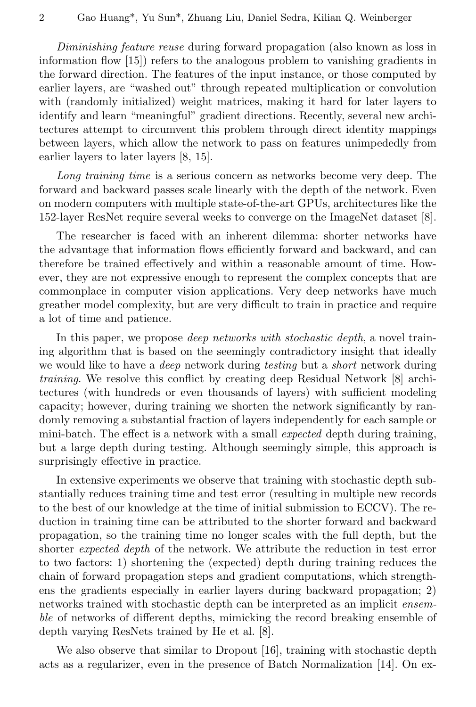Diminishing feature reuse during forward propagation (also known as loss in information flow [15]) refers to the analogous problem to vanishing gradients in the forward direction. The features of the input instance, or those computed by earlier layers, are "washed out" through repeated multiplication or convolution with (randomly initialized) weight matrices, making it hard for later layers to identify and learn "meaningful" gradient directions. Recently, several new architectures attempt to circumvent this problem through direct identity mappings between layers, which allow the network to pass on features unimpededly from earlier layers to later layers [8, 15].

Long training time is a serious concern as networks become very deep. The forward and backward passes scale linearly with the depth of the network. Even on modern computers with multiple state-of-the-art GPUs, architectures like the 152-layer ResNet require several weeks to converge on the ImageNet dataset [8].

The researcher is faced with an inherent dilemma: shorter networks have the advantage that information flows efficiently forward and backward, and can therefore be trained effectively and within a reasonable amount of time. However, they are not expressive enough to represent the complex concepts that are commonplace in computer vision applications. Very deep networks have much greather model complexity, but are very difficult to train in practice and require a lot of time and patience.

In this paper, we propose *deep networks with stochastic depth*, a novel training algorithm that is based on the seemingly contradictory insight that ideally we would like to have a *deep* network during *testing* but a *short* network during training. We resolve this conflict by creating deep Residual Network [8] architectures (with hundreds or even thousands of layers) with sufficient modeling capacity; however, during training we shorten the network significantly by randomly removing a substantial fraction of layers independently for each sample or mini-batch. The effect is a network with a small expected depth during training, but a large depth during testing. Although seemingly simple, this approach is surprisingly effective in practice.

In extensive experiments we observe that training with stochastic depth substantially reduces training time and test error (resulting in multiple new records to the best of our knowledge at the time of initial submission to ECCV). The reduction in training time can be attributed to the shorter forward and backward propagation, so the training time no longer scales with the full depth, but the shorter expected depth of the network. We attribute the reduction in test error to two factors: 1) shortening the (expected) depth during training reduces the chain of forward propagation steps and gradient computations, which strengthens the gradients especially in earlier layers during backward propagation; 2) networks trained with stochastic depth can be interpreted as an implicit ensemble of networks of different depths, mimicking the record breaking ensemble of depth varying ResNets trained by He et al. [8].

We also observe that similar to Dropout [16], training with stochastic depth acts as a regularizer, even in the presence of Batch Normalization [14]. On ex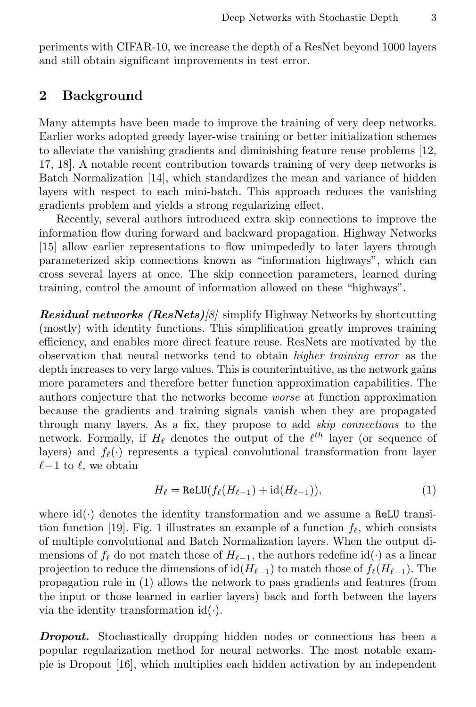periments with CIFAR-10, we increase the depth of a ResNet beyond 1000 layers and still obtain significant improvements in test error.

## 2 Background

Many attempts have been made to improve the training of very deep networks. Earlier works adopted greedy layer-wise training or better initialization schemes to alleviate the vanishing gradients and diminishing feature reuse problems [12, 17, 18]. A notable recent contribution towards training of very deep networks is Batch Normalization [14], which standardizes the mean and variance of hidden layers with respect to each mini-batch. This approach reduces the vanishing gradients problem and yields a strong regularizing effect.

Recently, several authors introduced extra skip connections to improve the information flow during forward and backward propagation. Highway Networks [15] allow earlier representations to flow unimpededly to later layers through parameterized skip connections known as "information highways", which can cross several layers at once. The skip connection parameters, learned during training, control the amount of information allowed on these "highways".

**Residual networks (ResNets)**[8] simplify Highway Networks by shortcutting (mostly) with identity functions. This simplification greatly improves training efficiency, and enables more direct feature reuse. ResNets are motivated by the observation that neural networks tend to obtain higher training error as the depth increases to very large values. This is counterintuitive, as the network gains more parameters and therefore better function approximation capabilities. The authors conjecture that the networks become worse at function approximation because the gradients and training signals vanish when they are propagated through many layers. As a fix, they propose to add skip connections to the network. Formally, if  $H_{\ell}$  denotes the output of the  $\ell^{th}$  layer (or sequence of layers) and  $f_{\ell}(\cdot)$  represents a typical convolutional transformation from layer  $\ell-1$  to  $\ell$ , we obtain

$$
H_{\ell} = \text{ReLU}(f_{\ell}(H_{\ell-1}) + \text{id}(H_{\ell-1})),\tag{1}
$$

where  $id(\cdot)$  denotes the identity transformation and we assume a ReLU transition function [19]. Fig. 1 illustrates an example of a function  $f_\ell$ , which consists of multiple convolutional and Batch Normalization layers. When the output dimensions of  $f_\ell$  do not match those of  $H_{\ell-1}$ , the authors redefine id(·) as a linear projection to reduce the dimensions of id( $H_{\ell-1}$ ) to match those of  $f_{\ell}(H_{\ell-1})$ . The propagation rule in (1) allows the network to pass gradients and features (from the input or those learned in earlier layers) back and forth between the layers via the identity transformation  $id(\cdot)$ .

**Dropout.** Stochastically dropping hidden nodes or connections has been a popular regularization method for neural networks. The most notable example is Dropout [16], which multiplies each hidden activation by an independent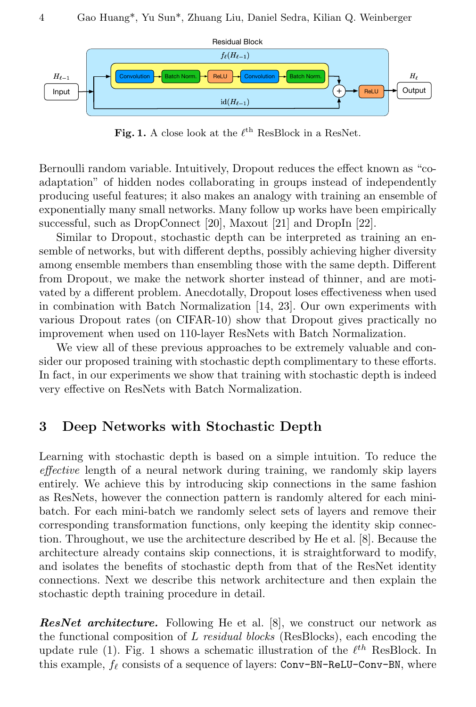

Fig. 1. A close look at the  $\ell^{\text{th}}$  ResBlock in a ResNet.

Bernoulli random variable. Intuitively, Dropout reduces the effect known as "coadaptation" of hidden nodes collaborating in groups instead of independently producing useful features; it also makes an analogy with training an ensemble of exponentially many small networks. Many follow up works have been empirically successful, such as DropConnect [20], Maxout [21] and DropIn [22].

Similar to Dropout, stochastic depth can be interpreted as training an ensemble of networks, but with different depths, possibly achieving higher diversity among ensemble members than ensembling those with the same depth. Different from Dropout, we make the network shorter instead of thinner, and are motivated by a different problem. Anecdotally, Dropout loses effectiveness when used in combination with Batch Normalization [14, 23]. Our own experiments with various Dropout rates (on CIFAR-10) show that Dropout gives practically no improvement when used on 110-layer ResNets with Batch Normalization.

We view all of these previous approaches to be extremely valuable and consider our proposed training with stochastic depth complimentary to these efforts. In fact, in our experiments we show that training with stochastic depth is indeed very effective on ResNets with Batch Normalization.

## 3 Deep Networks with Stochastic Depth

Learning with stochastic depth is based on a simple intuition. To reduce the effective length of a neural network during training, we randomly skip layers entirely. We achieve this by introducing skip connections in the same fashion as ResNets, however the connection pattern is randomly altered for each minibatch. For each mini-batch we randomly select sets of layers and remove their corresponding transformation functions, only keeping the identity skip connection. Throughout, we use the architecture described by He et al. [8]. Because the architecture already contains skip connections, it is straightforward to modify, and isolates the benefits of stochastic depth from that of the ResNet identity connections. Next we describe this network architecture and then explain the stochastic depth training procedure in detail.

**ResNet architecture.** Following He et al. [8], we construct our network as the functional composition of  $L$  residual blocks (ResBlocks), each encoding the update rule (1). Fig. 1 shows a schematic illustration of the  $\ell^{th}$  ResBlock. In this example,  $f_\ell$  consists of a sequence of layers: Conv-BN-ReLU-Conv-BN, where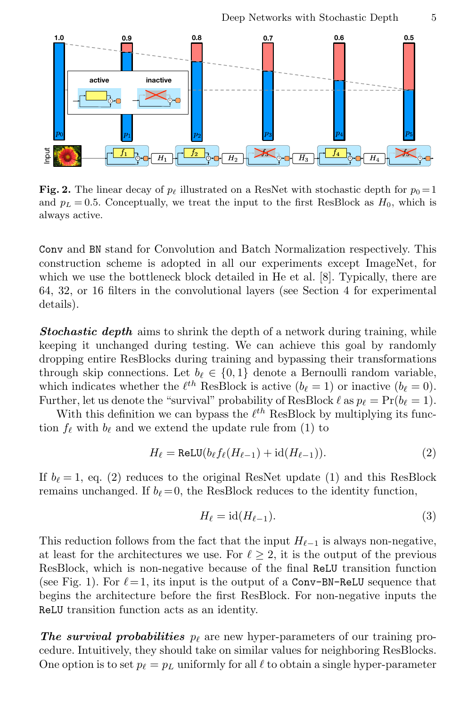

Fig. 2. The linear decay of  $p_\ell$  illustrated on a ResNet with stochastic depth for  $p_0 = 1$ and  $p_L = 0.5$ . Conceptually, we treat the input to the first ResBlock as  $H_0$ , which is always active.

Conv and BN stand for Convolution and Batch Normalization respectively. This construction scheme is adopted in all our experiments except ImageNet, for which we use the bottleneck block detailed in He et al. [8]. Typically, there are 64, 32, or 16 filters in the convolutional layers (see Section 4 for experimental details).

**Stochastic depth** aims to shrink the depth of a network during training, while keeping it unchanged during testing. We can achieve this goal by randomly dropping entire ResBlocks during training and bypassing their transformations through skip connections. Let  $b_\ell \in \{0, 1\}$  denote a Bernoulli random variable, which indicates whether the  $\ell^{th}$  ResBlock is active  $(b_{\ell} = 1)$  or inactive  $(b_{\ell} = 0)$ . Further, let us denote the "survival" probability of ResBlock  $\ell$  as  $p_\ell = \Pr(b_\ell = 1)$ .

With this definition we can bypass the  $\ell^{th}$  ResBlock by multiplying its function  $f_\ell$  with  $b_\ell$  and we extend the update rule from (1) to

$$
H_{\ell} = \text{ReLU}(b_{\ell} f_{\ell}(H_{\ell-1}) + \text{id}(H_{\ell-1})).
$$
\n(2)

If  $b_{\ell} = 1$ , eq. (2) reduces to the original ResNet update (1) and this ResBlock remains unchanged. If  $b_\ell = 0$ , the ResBlock reduces to the identity function,

$$
H_{\ell} = \text{id}(H_{\ell-1}).\tag{3}
$$

This reduction follows from the fact that the input  $H_{\ell-1}$  is always non-negative, at least for the architectures we use. For  $\ell > 2$ , it is the output of the previous ResBlock, which is non-negative because of the final ReLU transition function (see Fig. 1). For  $\ell = 1$ , its input is the output of a Conv-BN-ReLU sequence that begins the architecture before the first ResBlock. For non-negative inputs the ReLU transition function acts as an identity.

**The survival probabilities**  $p_{\ell}$  are new hyper-parameters of our training procedure. Intuitively, they should take on similar values for neighboring ResBlocks. One option is to set  $p_\ell = p_L$  uniformly for all  $\ell$  to obtain a single hyper-parameter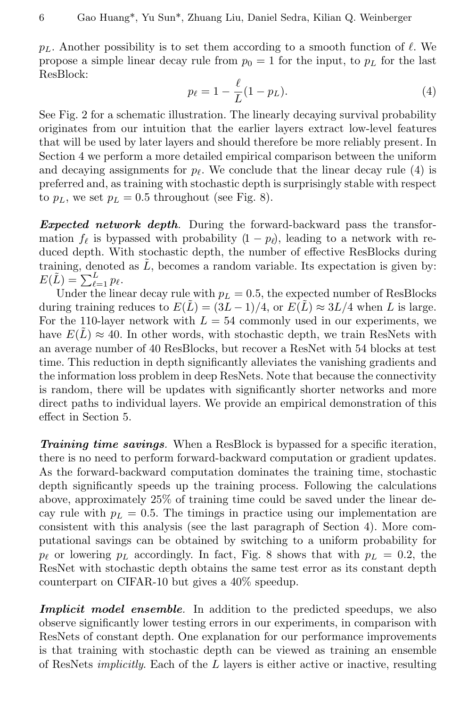$p_L$ . Another possibility is to set them according to a smooth function of  $\ell$ . We propose a simple linear decay rule from  $p_0 = 1$  for the input, to  $p_L$  for the last ResBlock:

$$
p_{\ell} = 1 - \frac{\ell}{L}(1 - p_L). \tag{4}
$$

See Fig. 2 for a schematic illustration. The linearly decaying survival probability originates from our intuition that the earlier layers extract low-level features that will be used by later layers and should therefore be more reliably present. In Section 4 we perform a more detailed empirical comparison between the uniform and decaying assignments for  $p_\ell$ . We conclude that the linear decay rule (4) is preferred and, as training with stochastic depth is surprisingly stable with respect to  $p_L$ , we set  $p_L = 0.5$  throughout (see Fig. 8).

**Expected network depth.** During the forward-backward pass the transformation  $f_\ell$  is bypassed with probability  $(1 - p_\ell)$ , leading to a network with reduced depth. With stochastic depth, the number of effective ResBlocks during training, denoted as  $\tilde{L}$ , becomes a random variable. Its expectation is given by:  $E(\tilde{L}) = \sum_{\ell=1}^{L} p_{\ell}.$ 

Under the linear decay rule with  $p_L = 0.5$ , the expected number of ResBlocks during training reduces to  $E(\tilde{L}) = (3L-1)/4$ , or  $E(\tilde{L}) \approx 3L/4$  when L is large. For the 110-layer network with  $L = 54$  commonly used in our experiments, we have  $E(L) \approx 40$ . In other words, with stochastic depth, we train ResNets with an average number of 40 ResBlocks, but recover a ResNet with 54 blocks at test time. This reduction in depth significantly alleviates the vanishing gradients and the information loss problem in deep ResNets. Note that because the connectivity is random, there will be updates with significantly shorter networks and more direct paths to individual layers. We provide an empirical demonstration of this effect in Section 5.

Training time savings. When a ResBlock is bypassed for a specific iteration, there is no need to perform forward-backward computation or gradient updates. As the forward-backward computation dominates the training time, stochastic depth significantly speeds up the training process. Following the calculations above, approximately 25% of training time could be saved under the linear decay rule with  $p_L = 0.5$ . The timings in practice using our implementation are consistent with this analysis (see the last paragraph of Section 4). More computational savings can be obtained by switching to a uniform probability for  $p_\ell$  or lowering  $p_L$  accordingly. In fact, Fig. 8 shows that with  $p_L = 0.2$ , the ResNet with stochastic depth obtains the same test error as its constant depth counterpart on CIFAR-10 but gives a 40% speedup.

**Implicit model ensemble.** In addition to the predicted speedups, we also observe significantly lower testing errors in our experiments, in comparison with ResNets of constant depth. One explanation for our performance improvements is that training with stochastic depth can be viewed as training an ensemble of ResNets *implicitly*. Each of the  $L$  layers is either active or inactive, resulting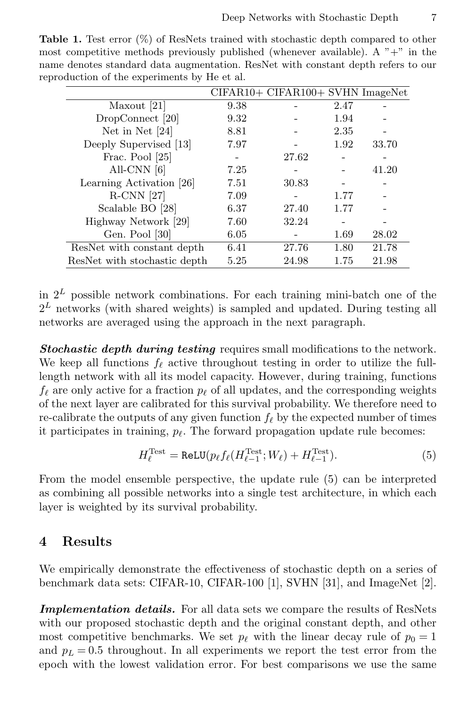| $\alpha$ . The components $\beta$ |      |                                    |      |       |
|-----------------------------------|------|------------------------------------|------|-------|
|                                   |      | $CIFAR10+ CIFAR100+ SVHN ImageNet$ |      |       |
| Maxout [21]                       | 9.38 |                                    | 2.47 |       |
| DropConnect [20]                  | 9.32 |                                    | 1.94 |       |
| Net in Net $[24]$                 | 8.81 |                                    | 2.35 |       |
| Deeply Supervised [13]            | 7.97 |                                    | 1.92 | 33.70 |
| Frac. Pool [25]                   |      | 27.62                              |      |       |
| All-CNN $[6]$                     | 7.25 |                                    |      | 41.20 |
| Learning Activation [26]          | 7.51 | 30.83                              |      |       |
| $R$ -CNN [27]                     | 7.09 |                                    | 1.77 |       |
| Scalable BO [28]                  | 6.37 | 27.40                              | 1.77 |       |
| Highway Network [29]              | 7.60 | 32.24                              |      |       |
| Gen. Pool [30]                    | 6.05 |                                    | 1.69 | 28.02 |
| ResNet with constant depth        | 6.41 | 27.76                              | 1.80 | 21.78 |
| ResNet with stochastic depth      | 5.25 | 24.98                              | 1.75 | 21.98 |

Table 1. Test error (%) of ResNets trained with stochastic depth compared to other most competitive methods previously published (whenever available). A  $" +"$  in the name denotes standard data augmentation. ResNet with constant depth refers to our reproduction of the experiments by He et al.

in  $2^L$  possible network combinations. For each training mini-batch one of the  $2<sup>L</sup>$  networks (with shared weights) is sampled and updated. During testing all networks are averaged using the approach in the next paragraph.

Stochastic depth during testing requires small modifications to the network. We keep all functions  $f_\ell$  active throughout testing in order to utilize the fulllength network with all its model capacity. However, during training, functions  $f_{\ell}$  are only active for a fraction  $p_{\ell}$  of all updates, and the corresponding weights of the next layer are calibrated for this survival probability. We therefore need to re-calibrate the outputs of any given function  $f_\ell$  by the expected number of times it participates in training,  $p_{\ell}$ . The forward propagation update rule becomes:

$$
H_{\ell}^{\text{Test}} = \text{ReLU}(p_{\ell} f_{\ell}(H_{\ell-1}^{\text{Test}}; W_{\ell}) + H_{\ell-1}^{\text{Test}}). \tag{5}
$$

From the model ensemble perspective, the update rule (5) can be interpreted as combining all possible networks into a single test architecture, in which each layer is weighted by its survival probability.

### 4 Results

We empirically demonstrate the effectiveness of stochastic depth on a series of benchmark data sets: CIFAR-10, CIFAR-100 [1], SVHN [31], and ImageNet [2].

Implementation details. For all data sets we compare the results of ResNets with our proposed stochastic depth and the original constant depth, and other most competitive benchmarks. We set  $p_\ell$  with the linear decay rule of  $p_0 = 1$ and  $p_L = 0.5$  throughout. In all experiments we report the test error from the epoch with the lowest validation error. For best comparisons we use the same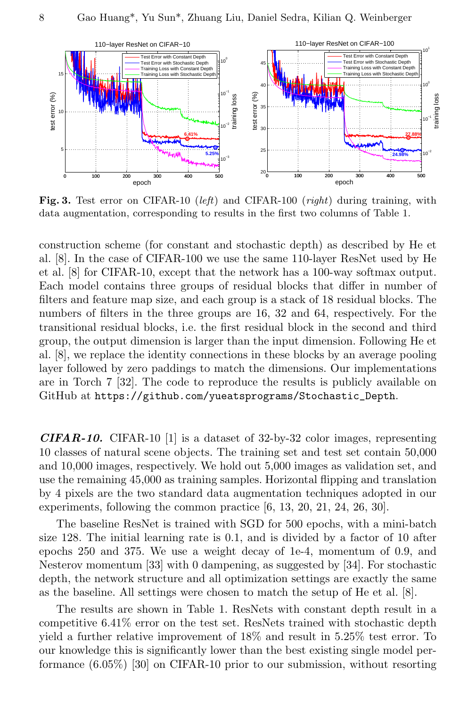

Fig. 3. Test error on CIFAR-10 (left) and CIFAR-100 (right) during training, with data augmentation, corresponding to results in the first two columns of Table 1.

construction scheme (for constant and stochastic depth) as described by He et al. [8]. In the case of CIFAR-100 we use the same 110-layer ResNet used by He et al. [8] for CIFAR-10, except that the network has a 100-way softmax output. Each model contains three groups of residual blocks that differ in number of filters and feature map size, and each group is a stack of 18 residual blocks. The numbers of filters in the three groups are 16, 32 and 64, respectively. For the transitional residual blocks, i.e. the first residual block in the second and third group, the output dimension is larger than the input dimension. Following He et al. [8], we replace the identity connections in these blocks by an average pooling layer followed by zero paddings to match the dimensions. Our implementations are in Torch 7 [32]. The code to reproduce the results is publicly available on GitHub at https://github.com/yueatsprograms/Stochastic\_Depth.

**CIFAR-10.** CIFAR-10 [1] is a dataset of 32-by-32 color images, representing 10 classes of natural scene objects. The training set and test set contain 50,000 and 10,000 images, respectively. We hold out 5,000 images as validation set, and use the remaining 45,000 as training samples. Horizontal flipping and translation by 4 pixels are the two standard data augmentation techniques adopted in our experiments, following the common practice [6, 13, 20, 21, 24, 26, 30].

The baseline ResNet is trained with SGD for 500 epochs, with a mini-batch size 128. The initial learning rate is 0.1, and is divided by a factor of 10 after epochs 250 and 375. We use a weight decay of 1e-4, momentum of 0.9, and Nesterov momentum [33] with 0 dampening, as suggested by [34]. For stochastic depth, the network structure and all optimization settings are exactly the same as the baseline. All settings were chosen to match the setup of He et al. [8].

The results are shown in Table 1. ResNets with constant depth result in a competitive 6.41% error on the test set. ResNets trained with stochastic depth yield a further relative improvement of 18% and result in 5.25% test error. To our knowledge this is significantly lower than the best existing single model performance (6.05%) [30] on CIFAR-10 prior to our submission, without resorting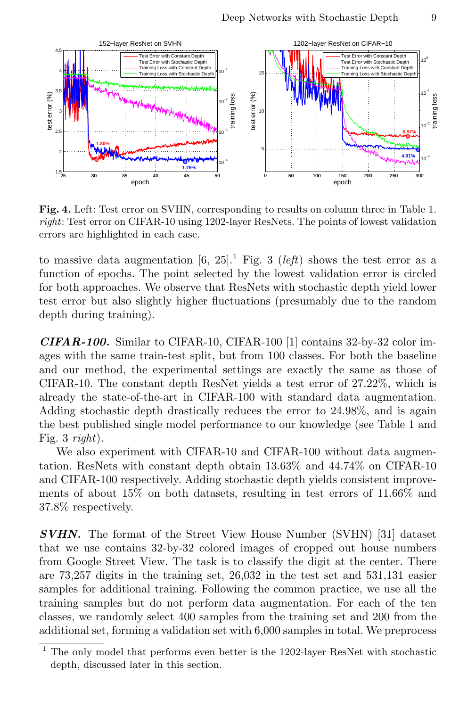

Fig. 4. Left: Test error on SVHN, corresponding to results on column three in Table 1. right: Test error on CIFAR-10 using 1202-layer ResNets. The points of lowest validation errors are highlighted in each case.

to massive data augmentation [6, 25].<sup>1</sup> Fig. 3 (*left*) shows the test error as a function of epochs. The point selected by the lowest validation error is circled for both approaches. We observe that ResNets with stochastic depth yield lower test error but also slightly higher fluctuations (presumably due to the random depth during training).

 $CIFAR-100$ . Similar to CIFAR-10, CIFAR-100 [1] contains 32-by-32 color images with the same train-test split, but from 100 classes. For both the baseline and our method, the experimental settings are exactly the same as those of CIFAR-10. The constant depth ResNet yields a test error of 27.22%, which is already the state-of-the-art in CIFAR-100 with standard data augmentation. Adding stochastic depth drastically reduces the error to 24.98%, and is again the best published single model performance to our knowledge (see Table 1 and Fig. 3 right).

We also experiment with CIFAR-10 and CIFAR-100 without data augmentation. ResNets with constant depth obtain 13.63% and 44.74% on CIFAR-10 and CIFAR-100 respectively. Adding stochastic depth yields consistent improvements of about 15% on both datasets, resulting in test errors of 11.66% and 37.8% respectively.

**SVHN.** The format of the Street View House Number (SVHN) [31] dataset that we use contains 32-by-32 colored images of cropped out house numbers from Google Street View. The task is to classify the digit at the center. There are 73,257 digits in the training set, 26,032 in the test set and 531,131 easier samples for additional training. Following the common practice, we use all the training samples but do not perform data augmentation. For each of the ten classes, we randomly select 400 samples from the training set and 200 from the additional set, forming a validation set with 6,000 samples in total. We preprocess

 $^{\rm 1}$  The only model that performs even better is the 1202-layer ResNet with stochastic depth, discussed later in this section.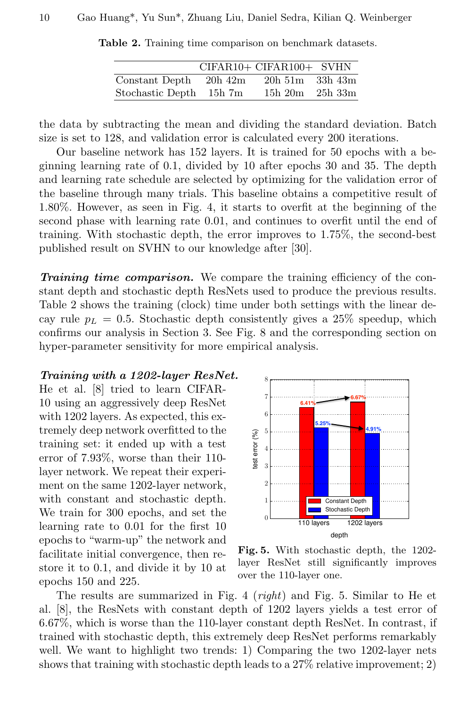|                  |           | CIFAR10+ CIFAR100+ SVHN |         |
|------------------|-----------|-------------------------|---------|
| Constant Depth   | $20h$ 42m | $20h\,51m$ $33h\,43m$   |         |
| Stochastic Depth | $15h\ 7m$ | $15h\ 20m$              | 25h 33m |

Table 2. Training time comparison on benchmark datasets.

the data by subtracting the mean and dividing the standard deviation. Batch size is set to 128, and validation error is calculated every 200 iterations.

Our baseline network has 152 layers. It is trained for 50 epochs with a beginning learning rate of 0.1, divided by 10 after epochs 30 and 35. The depth and learning rate schedule are selected by optimizing for the validation error of the baseline through many trials. This baseline obtains a competitive result of 1.80%. However, as seen in Fig. 4, it starts to overfit at the beginning of the second phase with learning rate 0.01, and continues to overfit until the end of training. With stochastic depth, the error improves to 1.75%, the second-best published result on SVHN to our knowledge after [30].

Training time comparison. We compare the training efficiency of the constant depth and stochastic depth ResNets used to produce the previous results. Table 2 shows the training (clock) time under both settings with the linear decay rule  $p_L = 0.5$ . Stochastic depth consistently gives a 25% speedup, which confirms our analysis in Section 3. See Fig. 8 and the corresponding section on hyper-parameter sensitivity for more empirical analysis.

#### Training with a 1202-layer ResNet.

He et al. [8] tried to learn CIFAR-10 using an aggressively deep ResNet with 1202 layers. As expected, this extremely deep network overfitted to the training set: it ended up with a test error of 7.93%, worse than their 110 layer network. We repeat their experiment on the same 1202-layer network, with constant and stochastic depth. We train for 300 epochs, and set the learning rate to 0.01 for the first 10 epochs to "warm-up" the network and facilitate initial convergence, then restore it to 0.1, and divide it by 10 at epochs 150 and 225.



Fig. 5. With stochastic depth, the 1202 layer ResNet still significantly improves over the 110-layer one.

The results are summarized in Fig. 4 (right) and Fig. 5. Similar to He et al. [8], the ResNets with constant depth of 1202 layers yields a test error of 6.67%, which is worse than the 110-layer constant depth ResNet. In contrast, if trained with stochastic depth, this extremely deep ResNet performs remarkably well. We want to highlight two trends: 1) Comparing the two 1202-layer nets shows that training with stochastic depth leads to a 27% relative improvement; 2)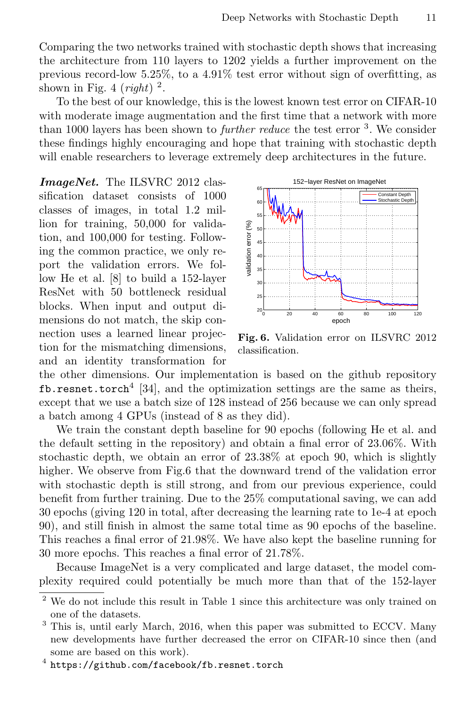Comparing the two networks trained with stochastic depth shows that increasing the architecture from 110 layers to 1202 yields a further improvement on the previous record-low 5.25%, to a 4.91% test error without sign of overfitting, as shown in Fig. 4 (*right*)  $^2$ .

To the best of our knowledge, this is the lowest known test error on CIFAR-10 with moderate image augmentation and the first time that a network with more than 1000 layers has been shown to *further reduce* the test error <sup>3</sup>. We consider these findings highly encouraging and hope that training with stochastic depth will enable researchers to leverage extremely deep architectures in the future.

ImageNet. The ILSVRC 2012 classification dataset consists of 1000 classes of images, in total 1.2 million for training, 50,000 for validation, and 100,000 for testing. Following the common practice, we only report the validation errors. We follow He et al. [8] to build a 152-layer ResNet with 50 bottleneck residual blocks. When input and output dimensions do not match, the skip connection uses a learned linear projection for the mismatching dimensions, and an identity transformation for



Fig. 6. Validation error on ILSVRC 2012 classification.

the other dimensions. Our implementation is based on the github repository fb.resnet.torch<sup>4</sup> [34], and the optimization settings are the same as theirs, except that we use a batch size of 128 instead of 256 because we can only spread a batch among 4 GPUs (instead of 8 as they did).

We train the constant depth baseline for 90 epochs (following He et al. and the default setting in the repository) and obtain a final error of 23.06%. With stochastic depth, we obtain an error of 23.38% at epoch 90, which is slightly higher. We observe from Fig.6 that the downward trend of the validation error with stochastic depth is still strong, and from our previous experience, could benefit from further training. Due to the 25% computational saving, we can add 30 epochs (giving 120 in total, after decreasing the learning rate to 1e-4 at epoch 90), and still finish in almost the same total time as 90 epochs of the baseline. This reaches a final error of 21.98%. We have also kept the baseline running for 30 more epochs. This reaches a final error of 21.78%.

Because ImageNet is a very complicated and large dataset, the model complexity required could potentially be much more than that of the 152-layer

<sup>2</sup> We do not include this result in Table 1 since this architecture was only trained on one of the datasets.

<sup>&</sup>lt;sup>3</sup> This is, until early March, 2016, when this paper was submitted to ECCV. Many new developments have further decreased the error on CIFAR-10 since then (and some are based on this work).

 $^4$  https://github.com/facebook/fb.resnet.torch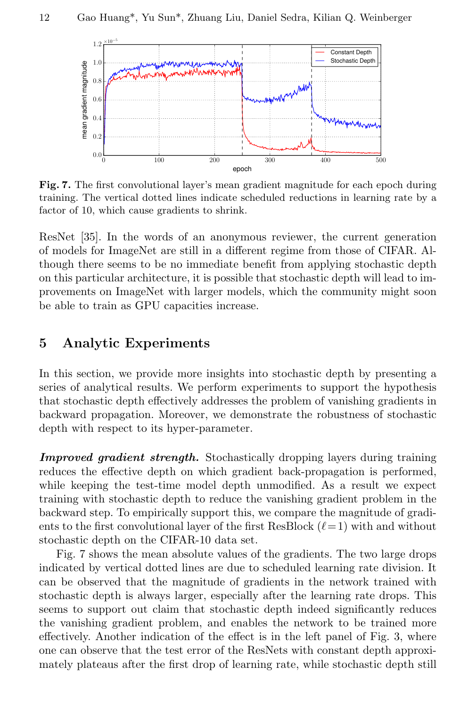

Fig. 7. The first convolutional layer's mean gradient magnitude for each epoch during training. The vertical dotted lines indicate scheduled reductions in learning rate by a factor of 10, which cause gradients to shrink.

ResNet [35]. In the words of an anonymous reviewer, the current generation of models for ImageNet are still in a different regime from those of CIFAR. Although there seems to be no immediate benefit from applying stochastic depth on this particular architecture, it is possible that stochastic depth will lead to improvements on ImageNet with larger models, which the community might soon be able to train as GPU capacities increase.

### 5 Analytic Experiments

In this section, we provide more insights into stochastic depth by presenting a series of analytical results. We perform experiments to support the hypothesis that stochastic depth effectively addresses the problem of vanishing gradients in backward propagation. Moreover, we demonstrate the robustness of stochastic depth with respect to its hyper-parameter.

Improved gradient strength. Stochastically dropping layers during training reduces the effective depth on which gradient back-propagation is performed, while keeping the test-time model depth unmodified. As a result we expect training with stochastic depth to reduce the vanishing gradient problem in the backward step. To empirically support this, we compare the magnitude of gradients to the first convolutional layer of the first ResBlock  $(\ell = 1)$  with and without stochastic depth on the CIFAR-10 data set.

Fig. 7 shows the mean absolute values of the gradients. The two large drops indicated by vertical dotted lines are due to scheduled learning rate division. It can be observed that the magnitude of gradients in the network trained with stochastic depth is always larger, especially after the learning rate drops. This seems to support out claim that stochastic depth indeed significantly reduces the vanishing gradient problem, and enables the network to be trained more effectively. Another indication of the effect is in the left panel of Fig. 3, where one can observe that the test error of the ResNets with constant depth approximately plateaus after the first drop of learning rate, while stochastic depth still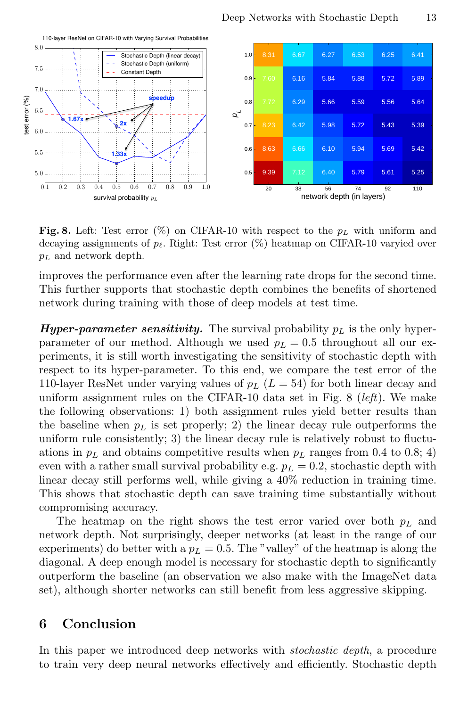

**Fig. 8.** Left: Test error  $(\%)$  on CIFAR-10 with respect to the  $p_L$  with uniform and decaying assignments of  $p_\ell$ . Right: Test error (%) heatmap on CIFAR-10 varyied over  $p_L$  and network depth.

improves the performance even after the learning rate drops for the second time. This further supports that stochastic depth combines the benefits of shortened network during training with those of deep models at test time.

**Hyper-parameter sensitivity.** The survival probability  $p_L$  is the only hyperparameter of our method. Although we used  $p_L = 0.5$  throughout all our experiments, it is still worth investigating the sensitivity of stochastic depth with respect to its hyper-parameter. To this end, we compare the test error of the 110-layer ResNet under varying values of  $p_L$  ( $L = 54$ ) for both linear decay and uniform assignment rules on the CIFAR-10 data set in Fig.  $8$  (*left*). We make the following observations: 1) both assignment rules yield better results than the baseline when  $p<sub>L</sub>$  is set properly; 2) the linear decay rule outperforms the uniform rule consistently; 3) the linear decay rule is relatively robust to fluctuations in  $p<sub>L</sub>$  and obtains competitive results when  $p<sub>L</sub>$  ranges from 0.4 to 0.8; 4) even with a rather small survival probability e.g.  $p_L = 0.2$ , stochastic depth with linear decay still performs well, while giving a 40% reduction in training time. This shows that stochastic depth can save training time substantially without compromising accuracy.

The heatmap on the right shows the test error varied over both  $p<sub>L</sub>$  and network depth. Not surprisingly, deeper networks (at least in the range of our experiments) do better with a  $p_L = 0.5$ . The "valley" of the heatmap is along the diagonal. A deep enough model is necessary for stochastic depth to significantly outperform the baseline (an observation we also make with the ImageNet data set), although shorter networks can still benefit from less aggressive skipping.

## 6 Conclusion

In this paper we introduced deep networks with *stochastic depth*, a procedure to train very deep neural networks effectively and efficiently. Stochastic depth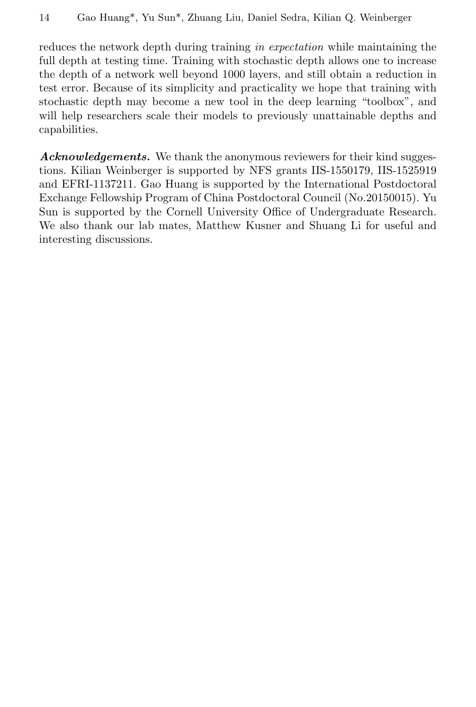reduces the network depth during training in expectation while maintaining the full depth at testing time. Training with stochastic depth allows one to increase the depth of a network well beyond 1000 layers, and still obtain a reduction in test error. Because of its simplicity and practicality we hope that training with stochastic depth may become a new tool in the deep learning "toolbox", and will help researchers scale their models to previously unattainable depths and capabilities.

Acknowledgements. We thank the anonymous reviewers for their kind suggestions. Kilian Weinberger is supported by NFS grants IIS-1550179, IIS-1525919 and EFRI-1137211. Gao Huang is supported by the International Postdoctoral Exchange Fellowship Program of China Postdoctoral Council (No.20150015). Yu Sun is supported by the Cornell University Office of Undergraduate Research. We also thank our lab mates, Matthew Kusner and Shuang Li for useful and interesting discussions.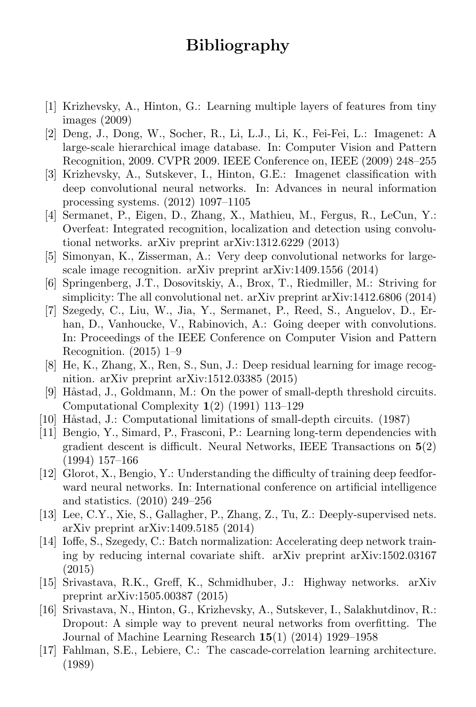# Bibliography

- [1] Krizhevsky, A., Hinton, G.: Learning multiple layers of features from tiny images (2009)
- [2] Deng, J., Dong, W., Socher, R., Li, L.J., Li, K., Fei-Fei, L.: Imagenet: A large-scale hierarchical image database. In: Computer Vision and Pattern Recognition, 2009. CVPR 2009. IEEE Conference on, IEEE (2009) 248–255
- [3] Krizhevsky, A., Sutskever, I., Hinton, G.E.: Imagenet classification with deep convolutional neural networks. In: Advances in neural information processing systems. (2012) 1097–1105
- [4] Sermanet, P., Eigen, D., Zhang, X., Mathieu, M., Fergus, R., LeCun, Y.: Overfeat: Integrated recognition, localization and detection using convolutional networks. arXiv preprint arXiv:1312.6229 (2013)
- [5] Simonyan, K., Zisserman, A.: Very deep convolutional networks for largescale image recognition. arXiv preprint arXiv:1409.1556 (2014)
- [6] Springenberg, J.T., Dosovitskiy, A., Brox, T., Riedmiller, M.: Striving for simplicity: The all convolutional net. arXiv preprint arXiv:1412.6806 (2014)
- [7] Szegedy, C., Liu, W., Jia, Y., Sermanet, P., Reed, S., Anguelov, D., Erhan, D., Vanhoucke, V., Rabinovich, A.: Going deeper with convolutions. In: Proceedings of the IEEE Conference on Computer Vision and Pattern Recognition. (2015) 1–9
- [8] He, K., Zhang, X., Ren, S., Sun, J.: Deep residual learning for image recognition. arXiv preprint arXiv:1512.03385 (2015)
- [9] Håstad, J., Goldmann, M.: On the power of small-depth threshold circuits. Computational Complexity 1(2) (1991) 113–129
- [10] Håstad, J.: Computational limitations of small-depth circuits. (1987)
- [11] Bengio, Y., Simard, P., Frasconi, P.: Learning long-term dependencies with gradient descent is difficult. Neural Networks, IEEE Transactions on 5(2) (1994) 157–166
- [12] Glorot, X., Bengio, Y.: Understanding the difficulty of training deep feedforward neural networks. In: International conference on artificial intelligence and statistics. (2010) 249–256
- [13] Lee, C.Y., Xie, S., Gallagher, P., Zhang, Z., Tu, Z.: Deeply-supervised nets. arXiv preprint arXiv:1409.5185 (2014)
- [14] Ioffe, S., Szegedy, C.: Batch normalization: Accelerating deep network training by reducing internal covariate shift. arXiv preprint arXiv:1502.03167 (2015)
- [15] Srivastava, R.K., Greff, K., Schmidhuber, J.: Highway networks. arXiv preprint arXiv:1505.00387 (2015)
- [16] Srivastava, N., Hinton, G., Krizhevsky, A., Sutskever, I., Salakhutdinov, R.: Dropout: A simple way to prevent neural networks from overfitting. The Journal of Machine Learning Research 15(1) (2014) 1929–1958
- [17] Fahlman, S.E., Lebiere, C.: The cascade-correlation learning architecture. (1989)